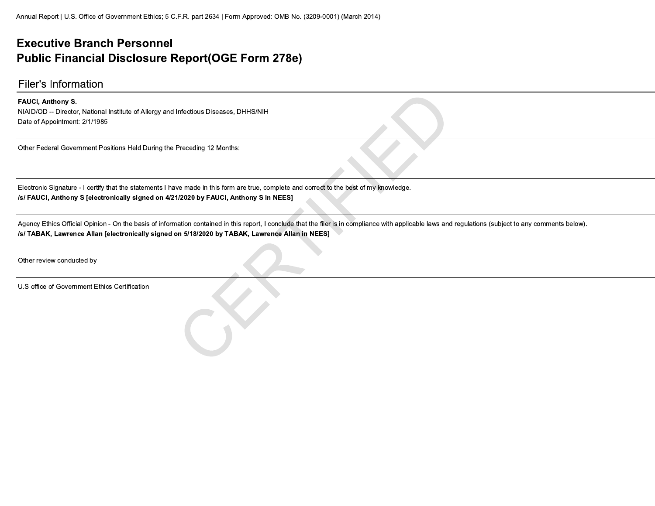#### **Executive Branch Personnel Public Financial Disclosure Report(OGE Form 278e)**

#### **Filer's Information**

#### FAUCI, Anthony S.

NIAID/OD -- Director, National Institute of Allergy and Infectious Diseases, DHHS/NIH Date of Appointment: 2/1/1985

Other Federal Government Positions Held During the Preceding 12 Months:

Electronic Signature - I certify that the statements I have made in this form are true, complete and correct to the best of my knowledge. /s/ FAUCI, Anthony S [electronically signed on 4/21/2020 by FAUCI, Anthony S in NEES]

Agency Ethics Official Opinion - On the basis of information contained in this report, I conclude that the filer is in compliance with applicable laws and regulations (subject to any comments below). /s/ TABAK, Lawrence Allan [electronically signed on 5/18/2020 by TABAK, Lawrence Allan in NEES]

Other review conducted by

U.S office of Government Ethics Certification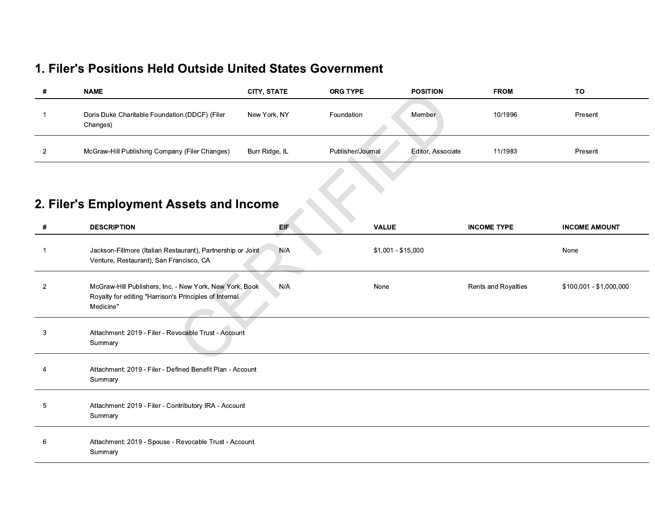#### 1. Filer's Positions Held Outside United States Government

| # | <b>NAME</b>                                                | <b>CITY STATE</b> | <b>ORG TYPE</b>   | <b>POSITION</b>   | <b>FROM</b> | TO      |
|---|------------------------------------------------------------|-------------------|-------------------|-------------------|-------------|---------|
|   | Doris Duke Charitable Foundation (DDCF) (Filer<br>Changes) | New York, NY      | Foundation        | Member            | 10/1996     | Present |
|   | McGraw-Hill Publishing Company (Filer Changes)             | Burr Ridge, IL    | Publisher/Journal | Editor, Associate | 11/1983     | Present |

# 2. Filer's Employment Assets and Income

| #              | <b>DESCRIPTION</b>                                                                                                             | $\sim$<br>EIF | <b>VALUE</b>       | <b>INCOME TYPE</b>  | <b>INCOME AMOUNT</b>    |
|----------------|--------------------------------------------------------------------------------------------------------------------------------|---------------|--------------------|---------------------|-------------------------|
|                | Jackson-Fillmore (Italian Restaurant), Partnership or Joint<br>Venture, Restaurant), San Francisco, CA                         | N/A           | \$1,001 - \$15,000 |                     | None                    |
| $\overline{2}$ | McGraw-Hill Publishers, Inc. - New York, New York, Book<br>Royalty for editing "Harrison's Principles of Internal<br>Medicine" | N/A           | None               | Rents and Royalties | \$100,001 - \$1,000,000 |
| 3              | Attachment: 2019 - Filer - Revocable Trust - Account<br>Summary                                                                |               |                    |                     |                         |
| 4              | Attachment: 2019 - Filer - Defined Benefit Plan - Account<br>Summary                                                           |               |                    |                     |                         |
| 5              | Attachment: 2019 - Filer - Contributory IRA - Account<br>Summary                                                               |               |                    |                     |                         |
| 6              | Attachment: 2019 - Spouse - Revocable Trust - Account<br>Summary                                                               |               |                    |                     |                         |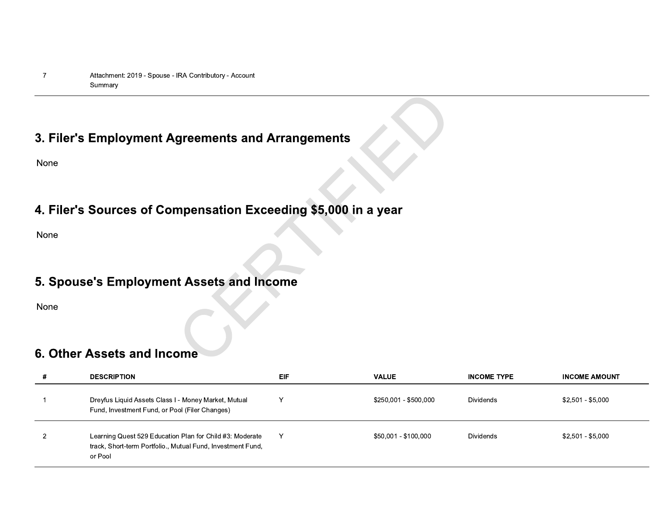### 3. Filer's Employment Agreements and Arrangements

None

## 4. Filer's Sources of Compensation Exceeding \$5,000 in a year

None

### 5. Spouse's Employment Assets and Income

None

#### 6. Other Assets and Income

| # | <b>DESCRIPTION</b>                                                                                                                 | <b>EIF</b> | <b>VALUE</b>          | <b>INCOME TYPE</b> | <b>INCOME AMOUNT</b> |
|---|------------------------------------------------------------------------------------------------------------------------------------|------------|-----------------------|--------------------|----------------------|
|   | Dreyfus Liquid Assets Class I - Money Market, Mutual<br>Fund, Investment Fund, or Pool (Filer Changes)                             | v          | \$250,001 - \$500,000 | Dividends          | \$2,501 - \$5,000    |
|   | Learning Quest 529 Education Plan for Child #3: Moderate<br>track, Short-term Portfolio., Mutual Fund, Investment Fund,<br>or Pool | Y          | \$50,001 - \$100,000  | Dividends          | \$2,501 - \$5,000    |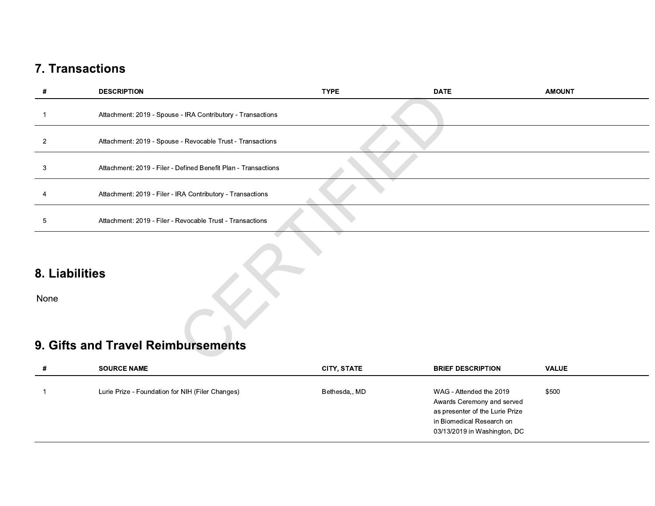|                        | <b>7. Transactions</b>                                         |                    |                                     |               |
|------------------------|----------------------------------------------------------------|--------------------|-------------------------------------|---------------|
| $\#$                   | <b>DESCRIPTION</b>                                             | <b>TYPE</b>        | <b>DATE</b>                         | <b>AMOUNT</b> |
| -1                     | Attachment: 2019 - Spouse - IRA Contributory - Transactions    |                    |                                     |               |
| $\overline{2}$         | Attachment: 2019 - Spouse - Revocable Trust - Transactions     |                    |                                     |               |
| $\mathbf{3}$           | Attachment: 2019 - Filer - Defined Benefit Plan - Transactions |                    |                                     |               |
| 4                      | Attachment: 2019 - Filer - IRA Contributory - Transactions     |                    |                                     |               |
| $5\phantom{.0}$        | Attachment: 2019 - Filer - Revocable Trust - Transactions      |                    |                                     |               |
| 8. Liabilities<br>None |                                                                |                    |                                     |               |
|                        | 9. Gifts and Travel Reimbursements                             |                    |                                     |               |
| #                      | <b>SOURCE NAME</b>                                             | <b>CITY, STATE</b> | <b>BRIEF DESCRIPTION</b>            | <b>VALUE</b>  |
| $\overline{1}$         | Lurie Prize - Foundation for NIH (Filer Changes)               | Bethesda,, MD      | WAG - Attended the 2019<br>$\sim$ . | \$500         |

| 8. Liabilities<br>None |                                                          |                    |                                                                                          |              |
|------------------------|----------------------------------------------------------|--------------------|------------------------------------------------------------------------------------------|--------------|
| #                      | 9. Gifts and Travel Reimbursements<br><b>SOURCE NAME</b> | <b>CITY, STATE</b> | <b>BRIEF DESCRIPTION</b>                                                                 | <b>VALUE</b> |
| -1                     | Lurie Prize - Foundation for NIH (Filer Changes)         | Bethesda,, MD      | WAG - Attended the 2019<br>Awards Ceremony and served<br>as presenter of the Lurie Prize | \$500        |